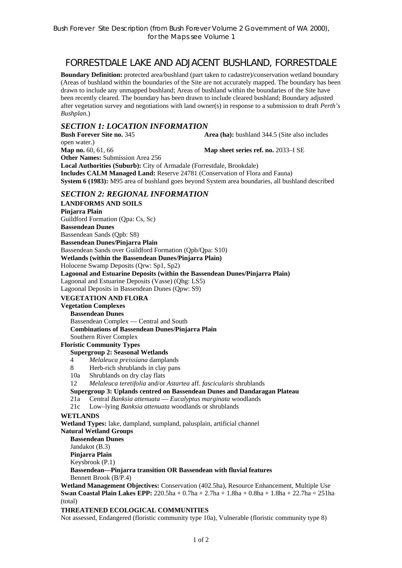# FORRESTDALE LAKE AND ADJACENT BUSHLAND, FORRESTDALE

**Boundary Definition:** protected area/bushland (part taken to cadastre)/conservation wetland boundary (Areas of bushland within the boundaries of the Site are not accurately mapped. The boundary has been drawn to include any unmapped bushland; Areas of bushland within the boundaries of the Site have been recently cleared. The boundary has been drawn to include cleared bushland; Boundary adjusted after vegetation survey and negotiations with land owner(s) in response to a submission to draft *Perth's Bushplan*.)

### *SECTION 1: LOCATION INFORMATION*

**Bush Forever Site no. 345 Area (ha):** bushland 344.5 (Site also includes open water.) **Map no.** 60, 61, 66 **Map sheet series ref. no.** 2033–I SE **Other Names:** Submission Area 256 **Local Authorities (Suburb):** City of Armadale (Forrestdale, Brookdale) **Includes CALM Managed Land:** Reserve 24781 (Conservation of Flora and Fauna) **System 6 (1983):** M95 area of bushland goes beyond System area boundaries, all bushland described

### *SECTION 2: REGIONAL INFORMATION*

**LANDFORMS AND SOILS Pinjarra Plain**  Guildford Formation (Qpa: Cs, Sc) **Bassendean Dunes**  Bassendean Sands (Qpb: S8) **Bassendean Dunes/Pinjarra Plain**  Bassendean Sands over Guildford Formation (Qpb/Qpa: S10) **Wetlands (within the Bassendean Dunes/Pinjarra Plain)**  Holocene Swamp Deposits (Qrw: Sp1, Sp2) **Lagoonal and Estuarine Deposits (within the Bassendean Dunes/Pinjarra Plain)**  Lagoonal and Estuarine Deposits (Vasse) (Qhg: LS5) Lagoonal Deposits in Bassendean Dunes (Qpw: S9)

### **VEGETATION AND FLORA**

# **Vegetation Complexes**

**Bassendean Dunes**  Bassendean Complex — Central and South **Combinations of Bassendean Dunes/Pinjarra Plain**  Southern River Complex

### **Floristic Community Types**

#### **Supergroup 2: Seasonal Wetlands**

- 4 *Melaleuca preissiana* damplands
- 8 Herb-rich shrublands in clay pans
- 10a Shrublands on dry clay flats
- 12 *Melaleuca teretifolia* and/or *Astartea* aff. *fascicularis* shrublands
- **Supergroup 3: Uplands centred on Bassendean Dunes and Dandaragan Plateau**
- 21a Central *Banksia attenuata* — *Eucalyptus marginata* woodlands
- 21c Low–lying *Banksia attenuata* woodlands or shrublands

### **WETLANDS**

**Wetland Types:** lake, dampland, sumpland, palusplain, artificial channel

**Natural Wetland Groups** 

**Bassendean Dunes** 

Jandakot (B.3)

**Pinjarra Plain** 

Keysbrook (P.1)

**Bassendean—Pinjarra transition OR Bassendean with fluvial features**  Bennett Brook (B/P.4)

**Wetland Management Objectives:** Conservation (402.5ha), Resource Enhancement, Multiple Use **Swan Coastal Plain Lakes EPP:** 220.5ha + 0.7ha + 2.7ha + 1.8ha + 0.8ha + 1.8ha + 22.7ha = 251ha (total)

### **THREATENED ECOLOGICAL COMMUNITIES**

Not assessed, Endangered (floristic community type 10a), Vulnerable (floristic community type 8)